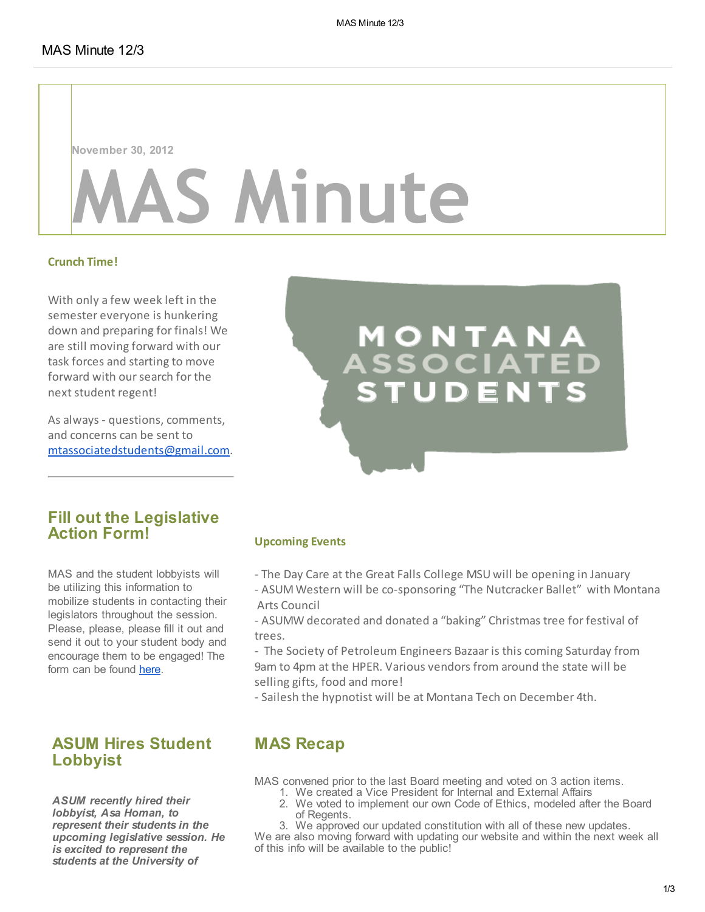November 30, 2012

## **S Minute**

#### Crunch Time!

With only a few week left in the semester everyone is hunkering down and preparing for finals! We are still moving forward with our task forces and starting to move forward with our search for the next student regent!

As always - questions, comments, and concerns can be sent to [mtassociatedstudents@gmail.com](mailto:mtassociatedstudents@gmail.com).

# M O N T A N A<br>\SSOCIATED

#### Fill out the Legislative Action Form!

MAS and the student lobbyists will be utilizing this information to mobilize students in contacting their legislators throughout the session. Please, please, please fill it out and send it out to your student body and encourage them to be engaged! The form can be found [here](https://docs.google.com/spreadsheet/viewform?formkey=dG96bDhBQ2wzVTN3RVJoVEs5Z09ORXc6MQ#gid=0).

#### ASUM Hires Student Lobbyist

ASUM recently hired their lobbyist, Asa Homan, to represent their students in the upcoming legislative session. He is excited to represent the students at the University of

#### Upcoming Events

- The Day Care at the Great Falls College MSU will be opening in January
- ASUM Western will be co-sponsoring "The Nutcracker Ballet" with Montana Arts Council
- ASUMW decorated and donated a "baking" Christmas tree for festival of trees.
- The Society of Petroleum Engineers Bazaar is this coming Saturday from 9am to 4pm at the HPER. Various vendors from around the state will be selling gifts, food and more!
- Sailesh the hypnotist will be at Montana Tech on December 4th.

#### MAS Recap

MAS convened prior to the last Board meeting and voted on 3 action items.

- 1. We created a Vice President for Internal and External Affairs
	- 2. We voted to implement our own Code of Ethics, modeled after the Board of Regents.
	- 3. We approved our updated constitution with all of these new updates.

We are also moving forward with updating our website and within the next week all of this info will be available to the public!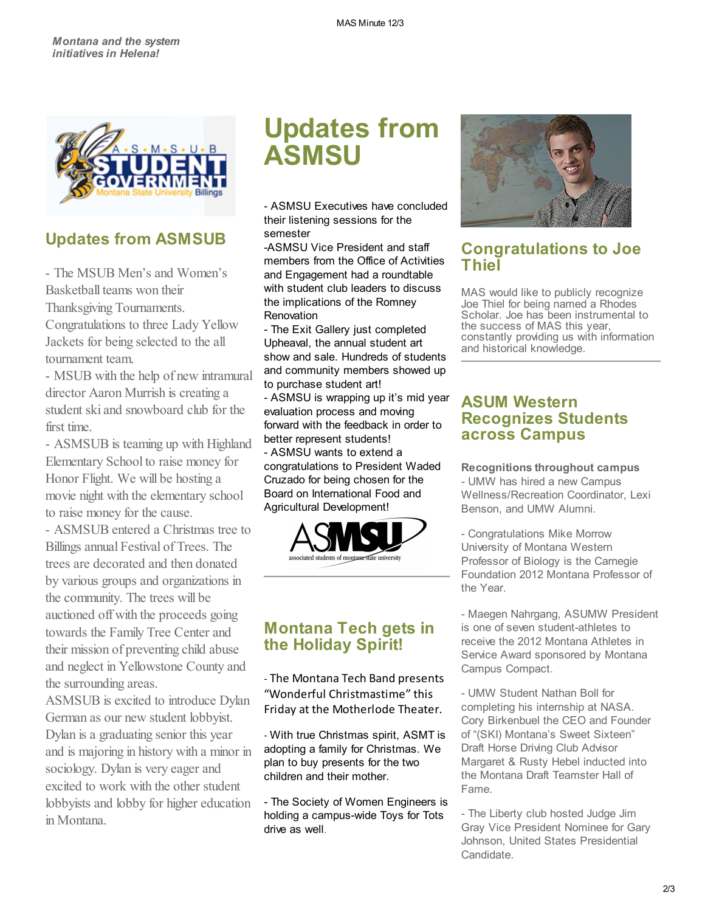

#### Updates from ASMSUB

- The MSUB Men's and Women's Basketball teams won their Thanksgiving Tournaments.

Congratulations to three Lady Yellow Jackets for being selected to the all tournament team.

- MSUB with the help of new intramural director Aaron Murrish is creating a student ski and snowboard club for the first time.

- ASMSUB is teaming up with Highland Elementary School to raise money for Honor Flight. We will be hosting a movie night with the elementary school to raise money for the cause.

- ASMSUB entered a Christmas tree to Billings annual Festival of Trees. The trees are decorated and then donated by various groups and organizations in the community. The trees will be auctioned off with the proceeds going towards the Family Tree Center and their mission of preventing child abuse and neglect in Yellowstone County and the surrounding areas.

ASMSUB is excited to introduce Dylan German as our new student lobbyist. Dylan is a graduating senior this year and is majoring in history with a minor in sociology. Dylan is very eager and excited to work with the other student lobbyists and lobby for higher education in Montana.

### Updates from ASMSU

- ASMSU Executives have concluded their listening sessions for the semester

-ASMSU Vice President and staff members from the Office of Activities and Engagement had a roundtable with student club leaders to discuss the implications of the Romney Renovation

- The Exit Gallery just completed Upheaval, the annual student art show and sale. Hundreds of students and community members showed up to purchase student art! - ASMSU is wrapping up it's mid year

evaluation process and moving forward with the feedback in order to better represent students!

- ASMSU wants to extend a congratulations to President Waded Cruzado for being chosen for the Board on International Food and Agricultural Development!



#### Montana Tech gets in the Holiday Spirit!

- The Montana Tech Band presents "Wonderful Christmastime" this Friday at the Motherlode Theater.

- With true Christmas spirit, ASMT is adopting a family for Christmas. We plan to buy presents for the two children and their mother.

- The Society of Women Engineers is holding a campus-wide Toys for Tots drive as well.



#### Congratulations to Joe Thiel

MAS would like to publicly recognize Joe Thiel for being named a Rhodes Scholar. Joe has been instrumental to the success of MAS this year, constantly providing us with information and historical knowledge.

#### ASUM Western Recognizes Students across Campus

Recognitions throughout campus

- UMW has hired a new Campus Wellness/Recreation Coordinator, Lexi Benson, and UMW Alumni.

- Congratulations Mike Morrow University of Montana Western Professor of Biology is the Carnegie Foundation 2012 Montana Professor of the Year.

- Maegen Nahrgang, ASUMW President is one of seven student-athletes to receive the 2012 Montana Athletes in Service Award sponsored by Montana Campus Compact.

- UMW Student Nathan Boll for completing his internship at NASA. Cory Birkenbuel the CEO and Founder of "(SKI) Montana's Sweet Sixteen" Draft Horse Driving Club Advisor Margaret & Rusty Hebel inducted into the Montana Draft Teamster Hall of Fame.

- The Liberty club hosted Judge Jim Gray Vice President Nominee for Gary Johnson, United States Presidential Candidate.